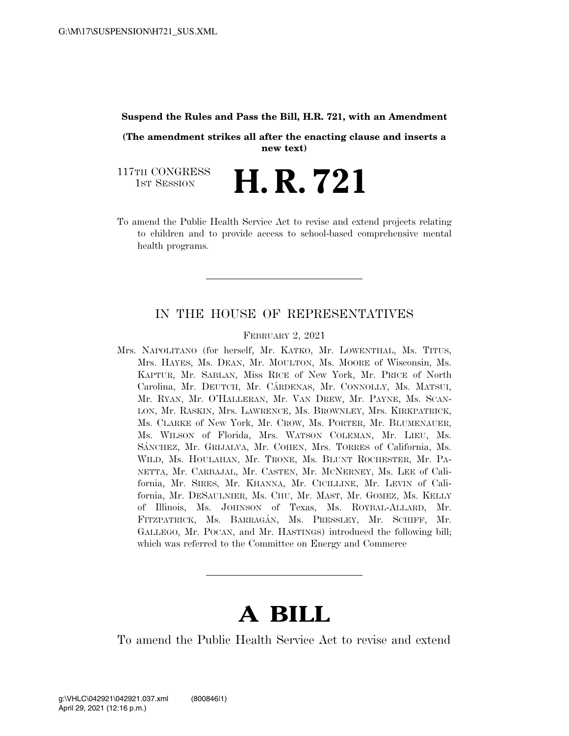## **Suspend the Rules and Pass the Bill, H.R. 721, with an Amendment**

**(The amendment strikes all after the enacting clause and inserts a new text)** 

117TH CONGRESS **HE CONGRESS H. R. 721** 

To amend the Public Health Service Act to revise and extend projects relating to children and to provide access to school-based comprehensive mental health programs.

## IN THE HOUSE OF REPRESENTATIVES

FEBRUARY 2, 2021

Mrs. NAPOLITANO (for herself, Mr. KATKO, Mr. LOWENTHAL, Ms. TITUS, Mrs. HAYES, Ms. DEAN, Mr. MOULTON, Ms. MOORE of Wisconsin, Ms. KAPTUR, Mr. SABLAN, Miss RICE of New York, Mr. PRICE of North Carolina, Mr. DEUTCH, Mr. CÁRDENAS, Mr. CONNOLLY, Ms. MATSUI, Mr. RYAN, Mr. O'HALLERAN, Mr. VAN DREW, Mr. PAYNE, Ms. SCAN-LON, Mr. RASKIN, Mrs. LAWRENCE, Ms. BROWNLEY, Mrs. KIRKPATRICK, Ms. CLARKE of New York, Mr. CROW, Ms. PORTER, Mr. BLUMENAUER, Ms. WILSON of Florida, Mrs. WATSON COLEMAN, Mr. LIEU, Ms. SÁNCHEZ, Mr. GRIJALVA, Mr. COHEN, Mrs. TORRES of California, Ms. WILD, Ms. HOULAHAN, Mr. TRONE, Ms. BLUNT ROCHESTER, Mr. PA-NETTA, Mr. CARBAJAL, Mr. CASTEN, Mr. MCNERNEY, Ms. LEE of California, Mr. SIRES, Mr. KHANNA, Mr. CICILLINE, Mr. LEVIN of California, Mr. DESAULNIER, Ms. CHU, Mr. MAST, Mr. GOMEZ, Ms. KELLY of Illinois, Ms. JOHNSON of Texas, Ms. ROYBAL-ALLARD, Mr. FITZPATRICK, Ms. BARRAGÁN, Ms. PRESSLEY, Mr. SCHIFF, Mr. GALLEGO, Mr. POCAN, and Mr. HASTINGS) introduced the following bill; which was referred to the Committee on Energy and Commerce

## **A BILL**

To amend the Public Health Service Act to revise and extend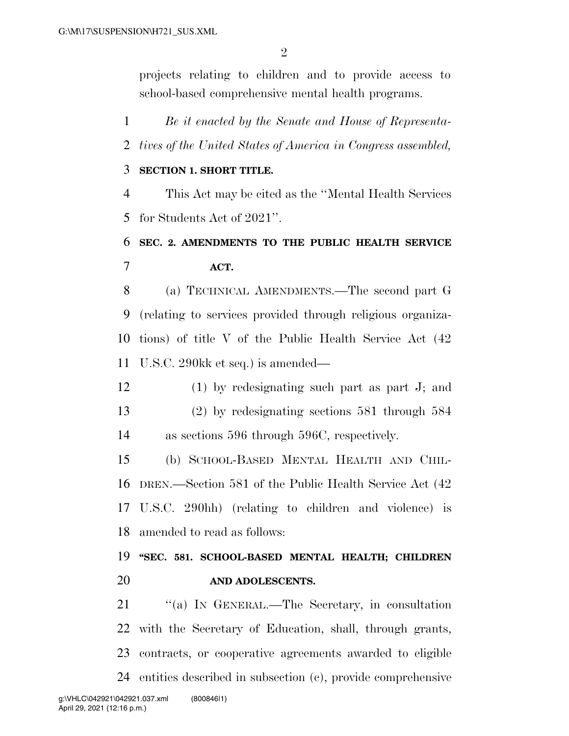projects relating to children and to provide access to school-based comprehensive mental health programs.

 *Be it enacted by the Senate and House of Representa- tives of the United States of America in Congress assembled,*  **SECTION 1. SHORT TITLE.**  This Act may be cited as the ''Mental Health Services for Students Act of 2021''. **SEC. 2. AMENDMENTS TO THE PUBLIC HEALTH SERVICE ACT.**  (a) TECHNICAL AMENDMENTS.—The second part G (relating to services provided through religious organiza- tions) of title V of the Public Health Service Act (42 U.S.C. 290kk et seq.) is amended— (1) by redesignating such part as part J; and (2) by redesignating sections 581 through 584 as sections 596 through 596C, respectively. (b) SCHOOL-BASED MENTAL HEALTH AND CHIL- DREN.—Section 581 of the Public Health Service Act (42 U.S.C. 290hh) (relating to children and violence) is amended to read as follows: **''SEC. 581. SCHOOL-BASED MENTAL HEALTH; CHILDREN AND ADOLESCENTS.** 

 ''(a) IN GENERAL.—The Secretary, in consultation with the Secretary of Education, shall, through grants, contracts, or cooperative agreements awarded to eligible entities described in subsection (c), provide comprehensive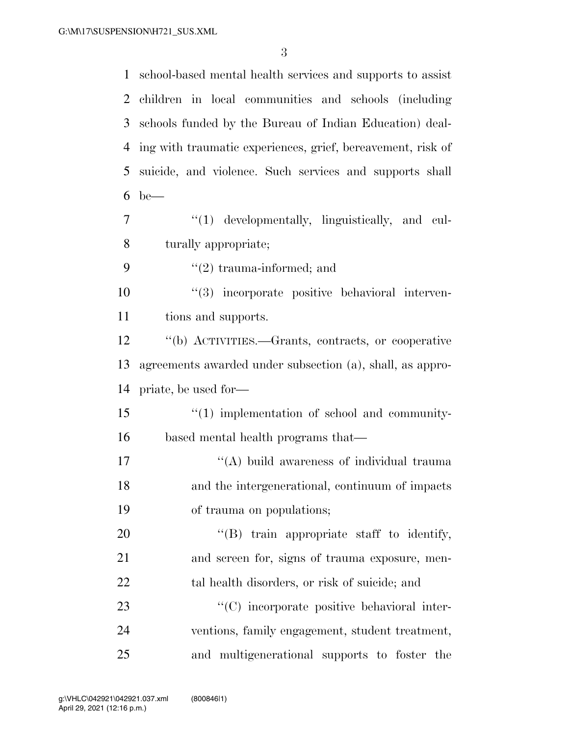school-based mental health services and supports to assist children in local communities and schools (including schools funded by the Bureau of Indian Education) deal- ing with traumatic experiences, grief, bereavement, risk of suicide, and violence. Such services and supports shall be— ''(1) developmentally, linguistically, and cul- turally appropriate;  $\frac{1}{2}$  trauma-informed; and ''(3) incorporate positive behavioral interven- tions and supports. ''(b) ACTIVITIES.—Grants, contracts, or cooperative agreements awarded under subsection (a), shall, as appro- priate, be used for—  $\frac{15}{10}$   $\frac{15}{10}$  implementation of school and community- based mental health programs that— 17 ''(A) build awareness of individual trauma and the intergenerational, continuum of impacts of trauma on populations;  $\text{``(B)}$  train appropriate staff to identify, and screen for, signs of trauma exposure, men-22 tal health disorders, or risk of suicide; and  $\cdot$  (C) incorporate positive behavioral inter- ventions, family engagement, student treatment, and multigenerational supports to foster the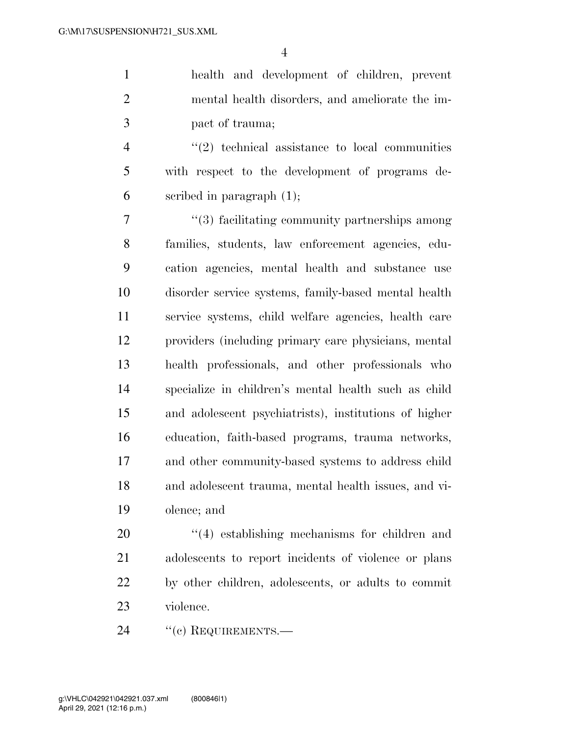health and development of children, prevent mental health disorders, and ameliorate the im-pact of trauma;

 ''(2) technical assistance to local communities with respect to the development of programs de-scribed in paragraph (1);

 ''(3) facilitating community partnerships among families, students, law enforcement agencies, edu- cation agencies, mental health and substance use disorder service systems, family-based mental health service systems, child welfare agencies, health care providers (including primary care physicians, mental health professionals, and other professionals who specialize in children's mental health such as child and adolescent psychiatrists), institutions of higher education, faith-based programs, trauma networks, and other community-based systems to address child and adolescent trauma, mental health issues, and vi-olence; and

 $\frac{1}{4}$  establishing mechanisms for children and adolescents to report incidents of violence or plans by other children, adolescents, or adults to commit violence.

24 "(c) REQUIREMENTS.—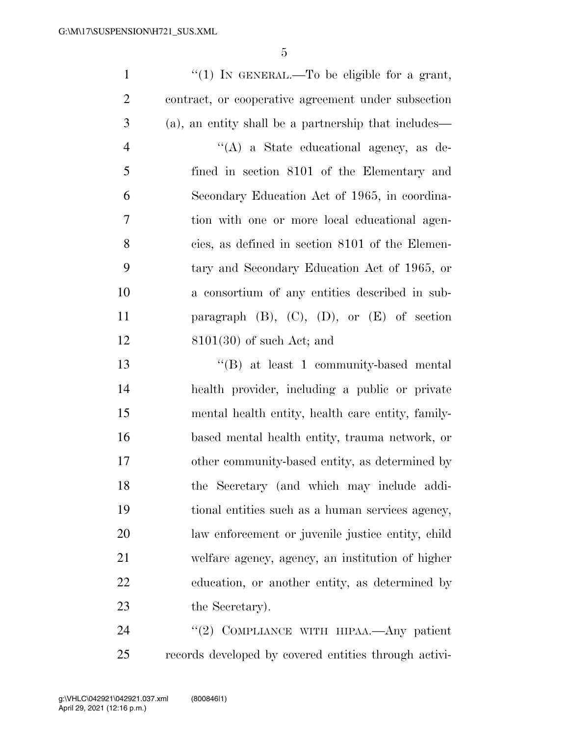| $\mathbf{1}$   | "(1) IN GENERAL.—To be eligible for a grant,          |
|----------------|-------------------------------------------------------|
| $\overline{2}$ | contract, or cooperative agreement under subsection   |
| 3              | (a), an entity shall be a partnership that includes—  |
| $\overline{4}$ | "(A) a State educational agency, as de-               |
| 5              | fined in section 8101 of the Elementary and           |
| 6              | Secondary Education Act of 1965, in coordina-         |
| $\overline{7}$ | tion with one or more local educational agen-         |
| 8              | cies, as defined in section 8101 of the Elemen-       |
| 9              | tary and Secondary Education Act of 1965, or          |
| 10             | a consortium of any entities described in sub-        |
| 11             | paragraph $(B)$ , $(C)$ , $(D)$ , or $(E)$ of section |
| 12             | $8101(30)$ of such Act; and                           |
| 13             | $\cdot$ (B) at least 1 community-based mental         |
| 14             | health provider, including a public or private        |
| 15             | mental health entity, health care entity, family-     |
| 16             | based mental health entity, trauma network, or        |
| 17             | other community-based entity, as determined by        |
| 18             | the Secretary (and which may include addi-            |
| 19             | tional entities such as a human services agency,      |
| 20             | law enforcement or juvenile justice entity, child     |
| 21             | welfare agency, agency, an institution of higher      |

 education, or another entity, as determined by 23 the Secretary).

24 "(2) COMPLIANCE WITH HIPAA.—Any patient records developed by covered entities through activi-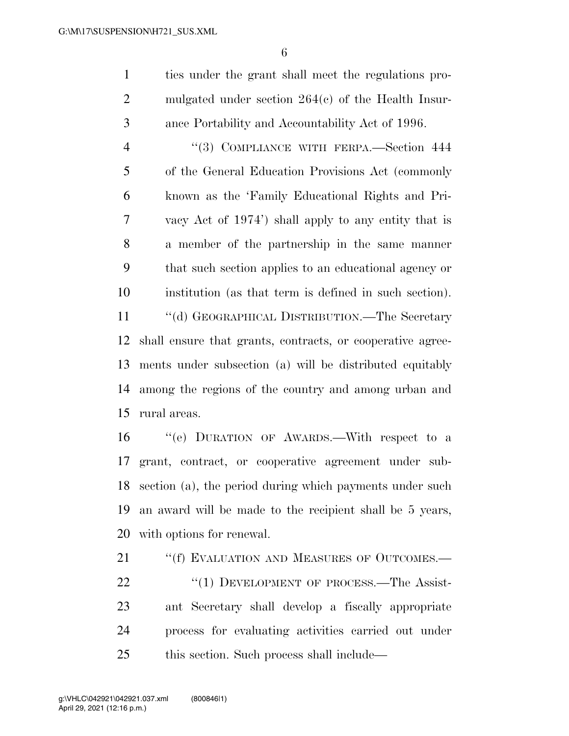ties under the grant shall meet the regulations pro- mulgated under section 264(c) of the Health Insur-ance Portability and Accountability Act of 1996.

 ''(3) COMPLIANCE WITH FERPA.—Section 444 of the General Education Provisions Act (commonly known as the 'Family Educational Rights and Pri- vacy Act of 1974') shall apply to any entity that is a member of the partnership in the same manner that such section applies to an educational agency or institution (as that term is defined in such section).

 ''(d) GEOGRAPHICAL DISTRIBUTION.—The Secretary shall ensure that grants, contracts, or cooperative agree- ments under subsection (a) will be distributed equitably among the regions of the country and among urban and rural areas.

 ''(e) DURATION OF AWARDS.—With respect to a grant, contract, or cooperative agreement under sub- section (a), the period during which payments under such an award will be made to the recipient shall be 5 years, with options for renewal.

21 "(f) EVALUATION AND MEASURES OF OUTCOMES.— 22 "(1) DEVELOPMENT OF PROCESS.—The Assist- ant Secretary shall develop a fiscally appropriate process for evaluating activities carried out under this section. Such process shall include—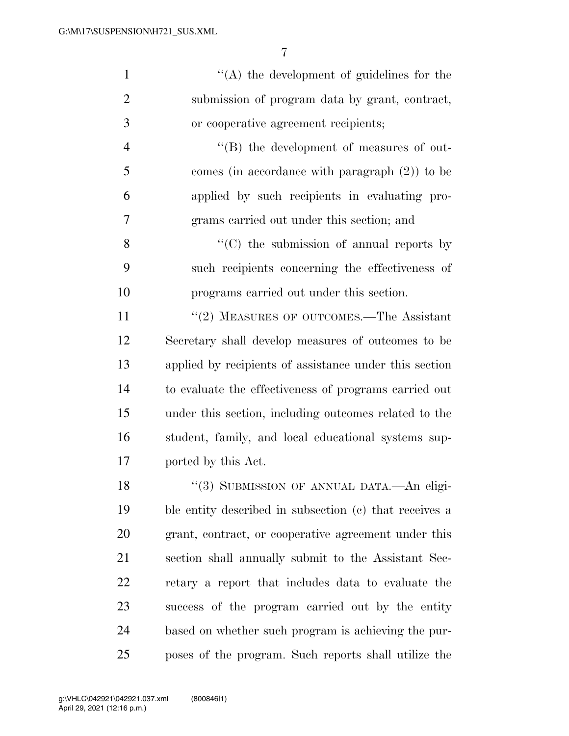| $\mathbf{1}$   | $\lq\lq$ the development of guidelines for the         |
|----------------|--------------------------------------------------------|
| $\overline{2}$ | submission of program data by grant, contract,         |
| 3              | or cooperative agreement recipients;                   |
| $\overline{4}$ | $\lq\lq (B)$ the development of measures of out-       |
| 5              | comes (in accordance with paragraph $(2)$ ) to be      |
| 6              | applied by such recipients in evaluating pro-          |
| 7              | grams carried out under this section; and              |
| 8              | $\lq\lq$ (C) the submission of annual reports by       |
| 9              | such recipients concerning the effectiveness of        |
| 10             | programs carried out under this section.               |
| 11             | "(2) MEASURES OF OUTCOMES.—The Assistant               |
| 12             | Secretary shall develop measures of outcomes to be     |
| 13             | applied by recipients of assistance under this section |
| 14             | to evaluate the effectiveness of programs carried out  |
| 15             | under this section, including outcomes related to the  |
| 16             | student, family, and local educational systems sup-    |
| 17             | ported by this Act.                                    |
| 18             | "(3) SUBMISSION OF ANNUAL DATA.—An eligi-              |
| 19             | ble entity described in subsection (c) that receives a |
| 20             | grant, contract, or cooperative agreement under this   |
| 21             | section shall annually submit to the Assistant Sec-    |
| 22             | retary a report that includes data to evaluate the     |
| 23             | success of the program carried out by the entity       |

poses of the program. Such reports shall utilize the

based on whether such program is achieving the pur-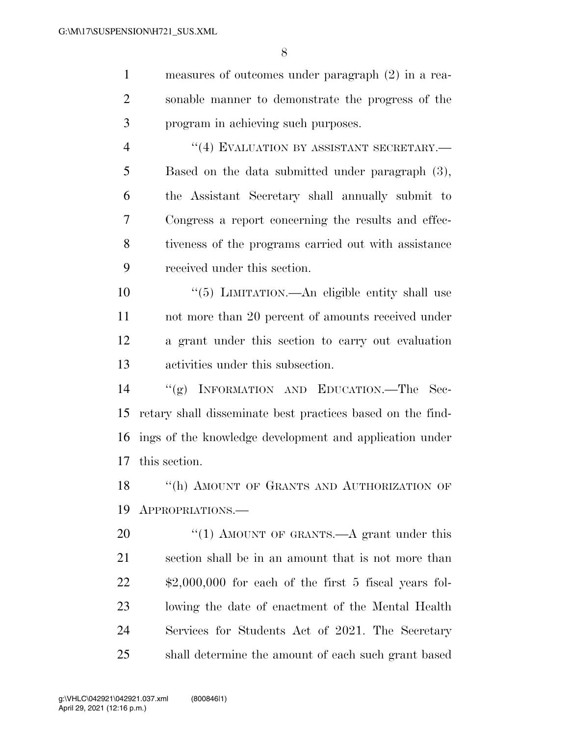measures of outcomes under paragraph (2) in a rea- sonable manner to demonstrate the progress of the program in achieving such purposes.  $((4)$  EVALUATION BY ASSISTANT SECRETARY. Based on the data submitted under paragraph (3), the Assistant Secretary shall annually submit to Congress a report concerning the results and effec- tiveness of the programs carried out with assistance received under this section. ''(5) LIMITATION.—An eligible entity shall use not more than 20 percent of amounts received under a grant under this section to carry out evaluation activities under this subsection. ''(g) INFORMATION AND EDUCATION.—The Sec- retary shall disseminate best practices based on the find- ings of the knowledge development and application under this section. 18 "(h) AMOUNT OF GRANTS AND AUTHORIZATION OF APPROPRIATIONS.— 20 "(1) AMOUNT OF GRANTS.—A grant under this section shall be in an amount that is not more than \$2,000,000 for each of the first 5 fiscal years fol- lowing the date of enactment of the Mental Health Services for Students Act of 2021. The Secretary

shall determine the amount of each such grant based